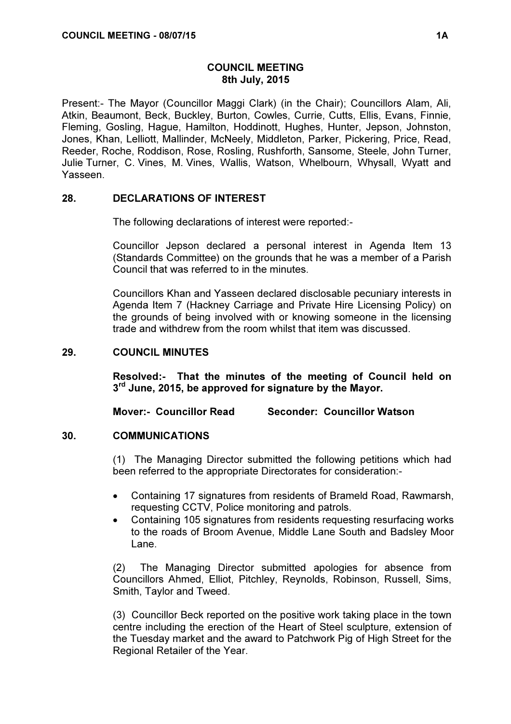## COUNCIL MEETING 8th July, 2015

Present:- The Mayor (Councillor Maggi Clark) (in the Chair); Councillors Alam, Ali, Atkin, Beaumont, Beck, Buckley, Burton, Cowles, Currie, Cutts, Ellis, Evans, Finnie, Fleming, Gosling, Hague, Hamilton, Hoddinott, Hughes, Hunter, Jepson, Johnston, Jones, Khan, Lelliott, Mallinder, McNeely, Middleton, Parker, Pickering, Price, Read, Reeder, Roche, Roddison, Rose, Rosling, Rushforth, Sansome, Steele, John Turner, Julie Turner, C. Vines, M. Vines, Wallis, Watson, Whelbourn, Whysall, Wyatt and Yasseen.

## 28. DECLARATIONS OF INTEREST

The following declarations of interest were reported:-

Councillor Jepson declared a personal interest in Agenda Item 13 (Standards Committee) on the grounds that he was a member of a Parish Council that was referred to in the minutes.

Councillors Khan and Yasseen declared disclosable pecuniary interests in Agenda Item 7 (Hackney Carriage and Private Hire Licensing Policy) on the grounds of being involved with or knowing someone in the licensing trade and withdrew from the room whilst that item was discussed.

### 29. COUNCIL MINUTES

Resolved:- That the minutes of the meeting of Council held on 3<sup>rd</sup> June, 2015, be approved for signature by the Mayor.

Mover:- Councillor Read Seconder: Councillor Watson

### 30. COMMUNICATIONS

 (1) The Managing Director submitted the following petitions which had been referred to the appropriate Directorates for consideration:-

- Containing 17 signatures from residents of Brameld Road, Rawmarsh, requesting CCTV, Police monitoring and patrols.
- Containing 105 signatures from residents requesting resurfacing works to the roads of Broom Avenue, Middle Lane South and Badsley Moor Lane.

(2) The Managing Director submitted apologies for absence from Councillors Ahmed, Elliot, Pitchley, Reynolds, Robinson, Russell, Sims, Smith, Taylor and Tweed.

(3) Councillor Beck reported on the positive work taking place in the town centre including the erection of the Heart of Steel sculpture, extension of the Tuesday market and the award to Patchwork Pig of High Street for the Regional Retailer of the Year.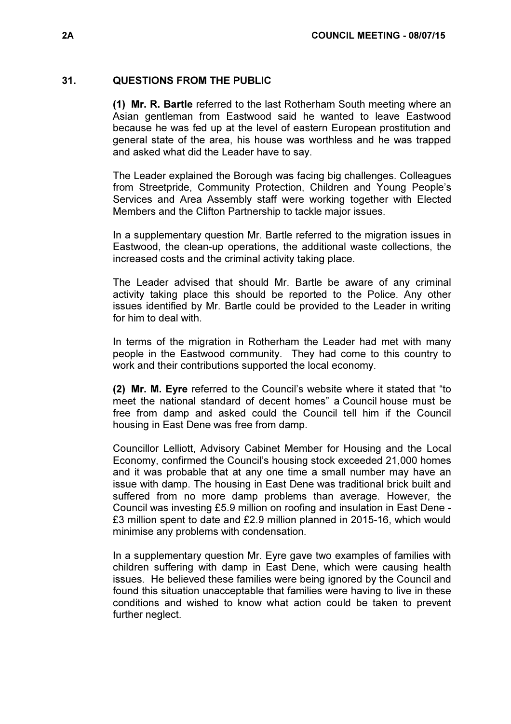## 31. QUESTIONS FROM THE PUBLIC

(1) Mr. R. Bartle referred to the last Rotherham South meeting where an Asian gentleman from Eastwood said he wanted to leave Eastwood because he was fed up at the level of eastern European prostitution and general state of the area, his house was worthless and he was trapped and asked what did the Leader have to say.

The Leader explained the Borough was facing big challenges. Colleagues from Streetpride, Community Protection, Children and Young People's Services and Area Assembly staff were working together with Elected Members and the Clifton Partnership to tackle major issues.

In a supplementary question Mr. Bartle referred to the migration issues in Eastwood, the clean-up operations, the additional waste collections, the increased costs and the criminal activity taking place.

The Leader advised that should Mr. Bartle be aware of any criminal activity taking place this should be reported to the Police. Any other issues identified by Mr. Bartle could be provided to the Leader in writing for him to deal with.

In terms of the migration in Rotherham the Leader had met with many people in the Eastwood community. They had come to this country to work and their contributions supported the local economy.

(2) Mr. M. Eyre referred to the Council's website where it stated that "to meet the national standard of decent homes" a Council house must be free from damp and asked could the Council tell him if the Council housing in East Dene was free from damp.

Councillor Lelliott, Advisory Cabinet Member for Housing and the Local Economy, confirmed the Council's housing stock exceeded 21,000 homes and it was probable that at any one time a small number may have an issue with damp. The housing in East Dene was traditional brick built and suffered from no more damp problems than average. However, the Council was investing £5.9 million on roofing and insulation in East Dene - £3 million spent to date and £2.9 million planned in 2015-16, which would minimise any problems with condensation.

In a supplementary question Mr. Eyre gave two examples of families with children suffering with damp in East Dene, which were causing health issues. He believed these families were being ignored by the Council and found this situation unacceptable that families were having to live in these conditions and wished to know what action could be taken to prevent further neglect.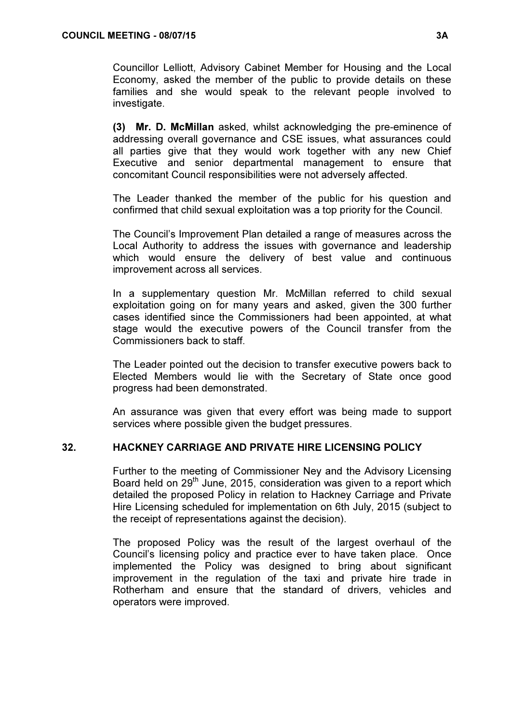Councillor Lelliott, Advisory Cabinet Member for Housing and the Local Economy, asked the member of the public to provide details on these families and she would speak to the relevant people involved to investigate.

(3) Mr. D. McMillan asked, whilst acknowledging the pre-eminence of addressing overall governance and CSE issues, what assurances could all parties give that they would work together with any new Chief Executive and senior departmental management to ensure that concomitant Council responsibilities were not adversely affected.

The Leader thanked the member of the public for his question and confirmed that child sexual exploitation was a top priority for the Council.

The Council's Improvement Plan detailed a range of measures across the Local Authority to address the issues with governance and leadership which would ensure the delivery of best value and continuous improvement across all services.

In a supplementary question Mr. McMillan referred to child sexual exploitation going on for many years and asked, given the 300 further cases identified since the Commissioners had been appointed, at what stage would the executive powers of the Council transfer from the Commissioners back to staff.

The Leader pointed out the decision to transfer executive powers back to Elected Members would lie with the Secretary of State once good progress had been demonstrated.

An assurance was given that every effort was being made to support services where possible given the budget pressures.

# 32. HACKNEY CARRIAGE AND PRIVATE HIRE LICENSING POLICY

 Further to the meeting of Commissioner Ney and the Advisory Licensing Board held on 29<sup>th</sup> June, 2015, consideration was given to a report which detailed the proposed Policy in relation to Hackney Carriage and Private Hire Licensing scheduled for implementation on 6th July, 2015 (subject to the receipt of representations against the decision).

The proposed Policy was the result of the largest overhaul of the Council's licensing policy and practice ever to have taken place. Once implemented the Policy was designed to bring about significant improvement in the regulation of the taxi and private hire trade in Rotherham and ensure that the standard of drivers, vehicles and operators were improved.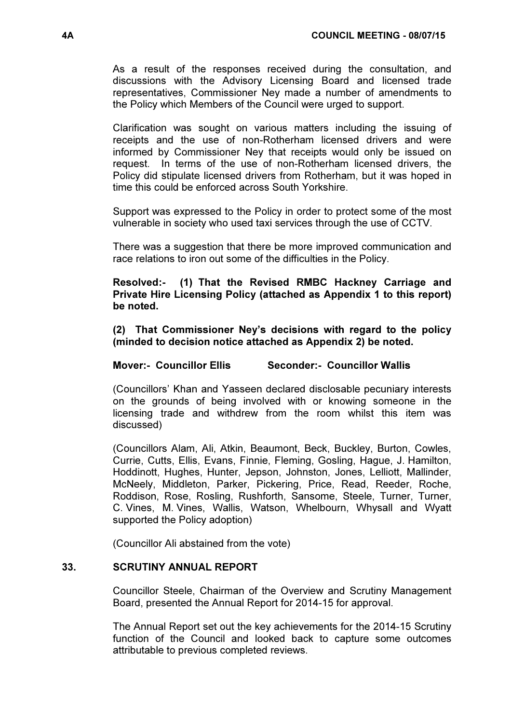As a result of the responses received during the consultation, and discussions with the Advisory Licensing Board and licensed trade representatives, Commissioner Ney made a number of amendments to the Policy which Members of the Council were urged to support.

Clarification was sought on various matters including the issuing of receipts and the use of non-Rotherham licensed drivers and were informed by Commissioner Ney that receipts would only be issued on request. In terms of the use of non-Rotherham licensed drivers, the Policy did stipulate licensed drivers from Rotherham, but it was hoped in time this could be enforced across South Yorkshire.

Support was expressed to the Policy in order to protect some of the most vulnerable in society who used taxi services through the use of CCTV.

There was a suggestion that there be more improved communication and race relations to iron out some of the difficulties in the Policy.

### Resolved:- (1) That the Revised RMBC Hackney Carriage and Private Hire Licensing Policy (attached as Appendix 1 to this report) be noted.

(2) That Commissioner Ney's decisions with regard to the policy (minded to decision notice attached as Appendix 2) be noted.

# Mover:- Councillor Ellis Seconder:- Councillor Wallis

(Councillors' Khan and Yasseen declared disclosable pecuniary interests on the grounds of being involved with or knowing someone in the licensing trade and withdrew from the room whilst this item was discussed)

(Councillors Alam, Ali, Atkin, Beaumont, Beck, Buckley, Burton, Cowles, Currie, Cutts, Ellis, Evans, Finnie, Fleming, Gosling, Hague, J. Hamilton, Hoddinott, Hughes, Hunter, Jepson, Johnston, Jones, Lelliott, Mallinder, McNeely, Middleton, Parker, Pickering, Price, Read, Reeder, Roche, Roddison, Rose, Rosling, Rushforth, Sansome, Steele, Turner, Turner, C. Vines, M. Vines, Wallis, Watson, Whelbourn, Whysall and Wyatt supported the Policy adoption)

(Councillor Ali abstained from the vote)

### 33. SCRUTINY ANNUAL REPORT

 Councillor Steele, Chairman of the Overview and Scrutiny Management Board, presented the Annual Report for 2014-15 for approval.

The Annual Report set out the key achievements for the 2014-15 Scrutiny function of the Council and looked back to capture some outcomes attributable to previous completed reviews.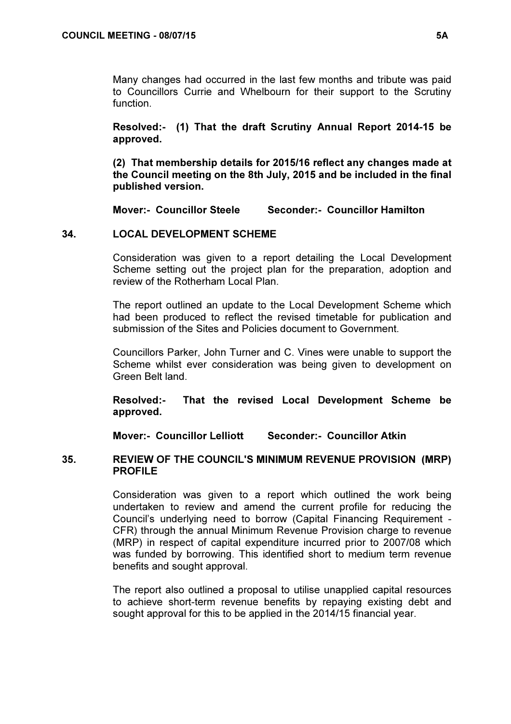Many changes had occurred in the last few months and tribute was paid to Councillors Currie and Whelbourn for their support to the Scrutiny function.

Resolved:- (1) That the draft Scrutiny Annual Report 2014-15 be approved.

(2) That membership details for 2015/16 reflect any changes made at the Council meeting on the 8th July, 2015 and be included in the final published version.

Mover:- Councillor Steele Seconder:- Councillor Hamilton

# 34. LOCAL DEVELOPMENT SCHEME

 Consideration was given to a report detailing the Local Development Scheme setting out the project plan for the preparation, adoption and review of the Rotherham Local Plan.

The report outlined an update to the Local Development Scheme which had been produced to reflect the revised timetable for publication and submission of the Sites and Policies document to Government.

Councillors Parker, John Turner and C. Vines were unable to support the Scheme whilst ever consideration was being given to development on Green Belt land.

Resolved:- That the revised Local Development Scheme be approved.

Mover:- Councillor Lelliott Seconder:- Councillor Atkin

## 35. REVIEW OF THE COUNCIL'S MINIMUM REVENUE PROVISION (MRP) PROFILE

 Consideration was given to a report which outlined the work being undertaken to review and amend the current profile for reducing the Council's underlying need to borrow (Capital Financing Requirement - CFR) through the annual Minimum Revenue Provision charge to revenue (MRP) in respect of capital expenditure incurred prior to 2007/08 which was funded by borrowing. This identified short to medium term revenue benefits and sought approval.

The report also outlined a proposal to utilise unapplied capital resources to achieve short-term revenue benefits by repaying existing debt and sought approval for this to be applied in the 2014/15 financial year.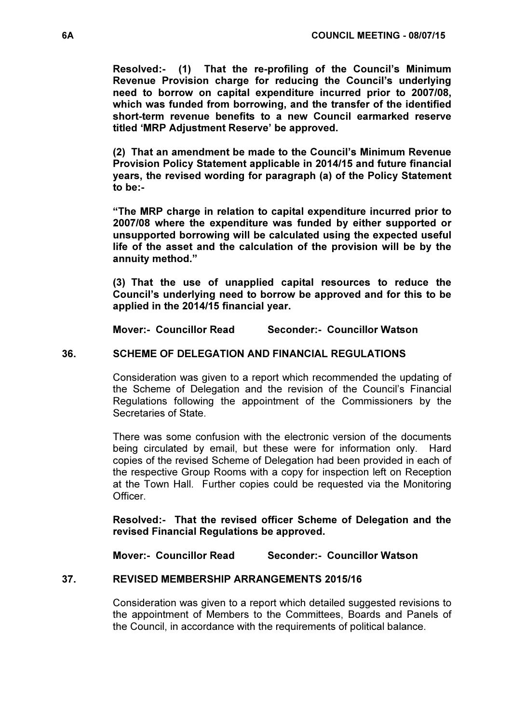Resolved:- (1) That the re-profiling of the Council's Minimum Revenue Provision charge for reducing the Council's underlying need to borrow on capital expenditure incurred prior to 2007/08, which was funded from borrowing, and the transfer of the identified short-term revenue benefits to a new Council earmarked reserve titled 'MRP Adjustment Reserve' be approved.

(2) That an amendment be made to the Council's Minimum Revenue Provision Policy Statement applicable in 2014/15 and future financial years, the revised wording for paragraph (a) of the Policy Statement to be:-

"The MRP charge in relation to capital expenditure incurred prior to 2007/08 where the expenditure was funded by either supported or unsupported borrowing will be calculated using the expected useful life of the asset and the calculation of the provision will be by the annuity method."

(3) That the use of unapplied capital resources to reduce the Council's underlying need to borrow be approved and for this to be applied in the 2014/15 financial year.

Mover:- Councillor Read Seconder:- Councillor Watson

## 36. SCHEME OF DELEGATION AND FINANCIAL REGULATIONS

 Consideration was given to a report which recommended the updating of the Scheme of Delegation and the revision of the Council's Financial Regulations following the appointment of the Commissioners by the Secretaries of State.

There was some confusion with the electronic version of the documents being circulated by email, but these were for information only. Hard copies of the revised Scheme of Delegation had been provided in each of the respective Group Rooms with a copy for inspection left on Reception at the Town Hall. Further copies could be requested via the Monitoring **Officer** 

Resolved:- That the revised officer Scheme of Delegation and the revised Financial Regulations be approved.

Mover:- Councillor Read Seconder:- Councillor Watson

### 37. REVISED MEMBERSHIP ARRANGEMENTS 2015/16

 Consideration was given to a report which detailed suggested revisions to the appointment of Members to the Committees, Boards and Panels of the Council, in accordance with the requirements of political balance.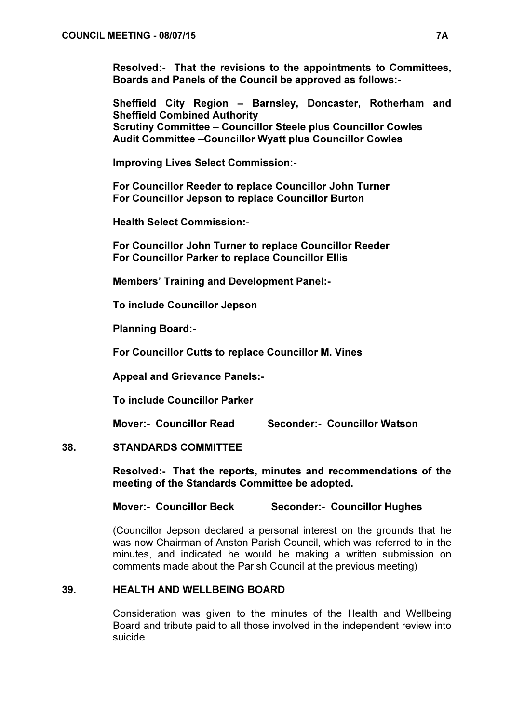Resolved:- That the revisions to the appointments to Committees, Boards and Panels of the Council be approved as follows:-

Sheffield City Region – Barnsley, Doncaster, Rotherham and Sheffield Combined Authority Scrutiny Committee – Councillor Steele plus Councillor Cowles Audit Committee –Councillor Wyatt plus Councillor Cowles

Improving Lives Select Commission:-

For Councillor Reeder to replace Councillor John Turner For Councillor Jepson to replace Councillor Burton

Health Select Commission:-

For Councillor John Turner to replace Councillor Reeder For Councillor Parker to replace Councillor Ellis

Members' Training and Development Panel:-

To include Councillor Jepson

Planning Board:-

For Councillor Cutts to replace Councillor M. Vines

Appeal and Grievance Panels:-

To include Councillor Parker

Mover:- Councillor Read Seconder:- Councillor Watson

### 38. STANDARDS COMMITTEE

Resolved:- That the reports, minutes and recommendations of the meeting of the Standards Committee be adopted.

Mover:- Councillor Beck Seconder:- Councillor Hughes

(Councillor Jepson declared a personal interest on the grounds that he was now Chairman of Anston Parish Council, which was referred to in the minutes, and indicated he would be making a written submission on comments made about the Parish Council at the previous meeting)

# 39. HEALTH AND WELLBEING BOARD

 Consideration was given to the minutes of the Health and Wellbeing Board and tribute paid to all those involved in the independent review into suicide.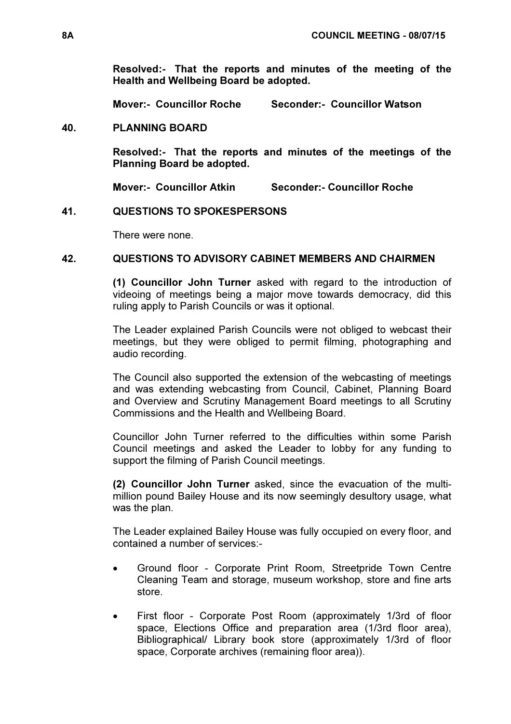Resolved:- That the reports and minutes of the meeting of the Health and Wellbeing Board be adopted.

Mover:- Councillor Roche Seconder:- Councillor Watson

## 40. PLANNING BOARD

Resolved:- That the reports and minutes of the meetings of the Planning Board be adopted.

Mover:- Councillor Atkin Seconder:- Councillor Roche

## 41. QUESTIONS TO SPOKESPERSONS

There were none.

## 42. QUESTIONS TO ADVISORY CABINET MEMBERS AND CHAIRMEN

(1) Councillor John Turner asked with regard to the introduction of videoing of meetings being a major move towards democracy, did this ruling apply to Parish Councils or was it optional.

The Leader explained Parish Councils were not obliged to webcast their meetings, but they were obliged to permit filming, photographing and audio recording.

The Council also supported the extension of the webcasting of meetings and was extending webcasting from Council, Cabinet, Planning Board and Overview and Scrutiny Management Board meetings to all Scrutiny Commissions and the Health and Wellbeing Board.

Councillor John Turner referred to the difficulties within some Parish Council meetings and asked the Leader to lobby for any funding to support the filming of Parish Council meetings.

(2) Councillor John Turner asked, since the evacuation of the multimillion pound Bailey House and its now seemingly desultory usage, what was the plan.

The Leader explained Bailey House was fully occupied on every floor, and contained a number of services:-

- Ground floor Corporate Print Room, Streetpride Town Centre Cleaning Team and storage, museum workshop, store and fine arts store.
- First floor Corporate Post Room (approximately 1/3rd of floor space, Elections Office and preparation area (1/3rd floor area), Bibliographical/ Library book store (approximately 1/3rd of floor space, Corporate archives (remaining floor area)).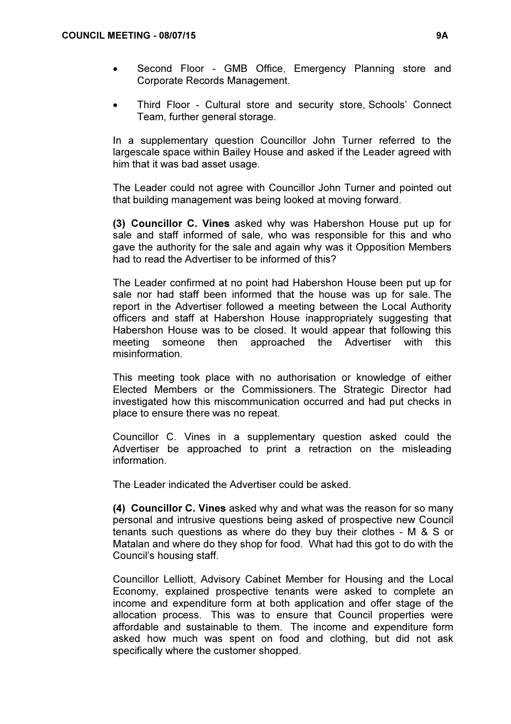- Second Floor GMB Office, Emergency Planning store and Corporate Records Management.
- Third Floor Cultural store and security store, Schools' Connect Team, further general storage.

In a supplementary question Councillor John Turner referred to the largescale space within Bailey House and asked if the Leader agreed with him that it was bad asset usage.

The Leader could not agree with Councillor John Turner and pointed out that building management was being looked at moving forward.

(3) Councillor C. Vines asked why was Habershon House put up for sale and staff informed of sale, who was responsible for this and who gave the authority for the sale and again why was it Opposition Members had to read the Advertiser to be informed of this?

The Leader confirmed at no point had Habershon House been put up for sale nor had staff been informed that the house was up for sale. The report in the Advertiser followed a meeting between the Local Authority officers and staff at Habershon House inappropriately suggesting that Habershon House was to be closed. It would appear that following this meeting someone then approached the Advertiser with this misinformation.

This meeting took place with no authorisation or knowledge of either Elected Members or the Commissioners. The Strategic Director had investigated how this miscommunication occurred and had put checks in place to ensure there was no repeat.

Councillor C. Vines in a supplementary question asked could the Advertiser be approached to print a retraction on the misleading information.

The Leader indicated the Advertiser could be asked.

(4) Councillor C. Vines asked why and what was the reason for so many personal and intrusive questions being asked of prospective new Council tenants such questions as where do they buy their clothes - M & S or Matalan and where do they shop for food. What had this got to do with the Council's housing staff.

Councillor Lelliott, Advisory Cabinet Member for Housing and the Local Economy, explained prospective tenants were asked to complete an income and expenditure form at both application and offer stage of the allocation process. This was to ensure that Council properties were affordable and sustainable to them. The income and expenditure form asked how much was spent on food and clothing, but did not ask specifically where the customer shopped.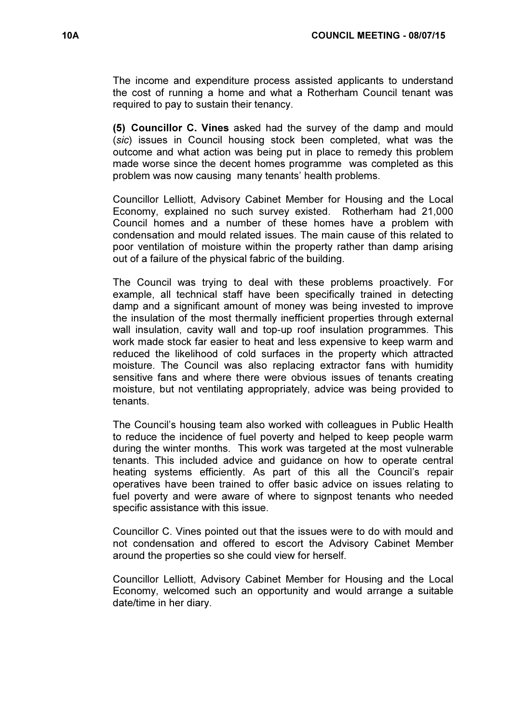The income and expenditure process assisted applicants to understand the cost of running a home and what a Rotherham Council tenant was required to pay to sustain their tenancy.

(5) Councillor C. Vines asked had the survey of the damp and mould (sic) issues in Council housing stock been completed, what was the outcome and what action was being put in place to remedy this problem made worse since the decent homes programme was completed as this problem was now causing many tenants' health problems.

Councillor Lelliott, Advisory Cabinet Member for Housing and the Local Economy, explained no such survey existed. Rotherham had 21,000 Council homes and a number of these homes have a problem with condensation and mould related issues. The main cause of this related to poor ventilation of moisture within the property rather than damp arising out of a failure of the physical fabric of the building.

The Council was trying to deal with these problems proactively. For example, all technical staff have been specifically trained in detecting damp and a significant amount of money was being invested to improve the insulation of the most thermally inefficient properties through external wall insulation, cavity wall and top-up roof insulation programmes. This work made stock far easier to heat and less expensive to keep warm and reduced the likelihood of cold surfaces in the property which attracted moisture. The Council was also replacing extractor fans with humidity sensitive fans and where there were obvious issues of tenants creating moisture, but not ventilating appropriately, advice was being provided to tenants.

The Council's housing team also worked with colleagues in Public Health to reduce the incidence of fuel poverty and helped to keep people warm during the winter months. This work was targeted at the most vulnerable tenants. This included advice and guidance on how to operate central heating systems efficiently. As part of this all the Council's repair operatives have been trained to offer basic advice on issues relating to fuel poverty and were aware of where to signpost tenants who needed specific assistance with this issue.

Councillor C. Vines pointed out that the issues were to do with mould and not condensation and offered to escort the Advisory Cabinet Member around the properties so she could view for herself.

Councillor Lelliott, Advisory Cabinet Member for Housing and the Local Economy, welcomed such an opportunity and would arrange a suitable date/time in her diary.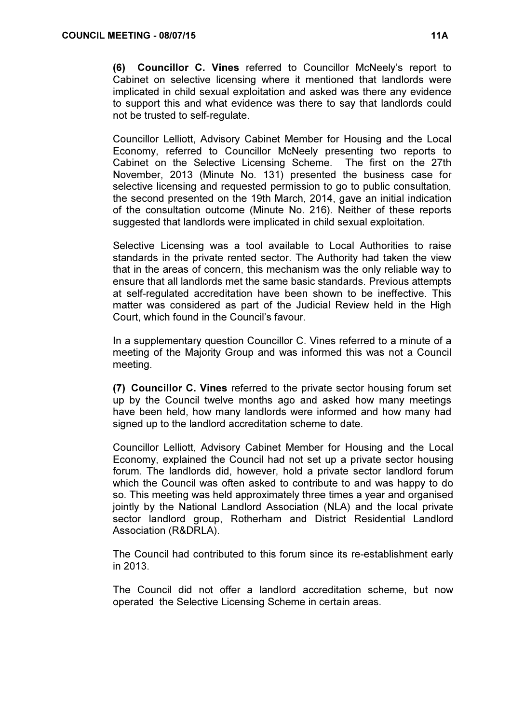(6) Councillor C. Vines referred to Councillor McNeely's report to Cabinet on selective licensing where it mentioned that landlords were implicated in child sexual exploitation and asked was there any evidence to support this and what evidence was there to say that landlords could not be trusted to self-regulate.

Councillor Lelliott, Advisory Cabinet Member for Housing and the Local Economy, referred to Councillor McNeely presenting two reports to Cabinet on the Selective Licensing Scheme. The first on the 27th November, 2013 (Minute No. 131) presented the business case for selective licensing and requested permission to go to public consultation, the second presented on the 19th March, 2014, gave an initial indication of the consultation outcome (Minute No. 216). Neither of these reports suggested that landlords were implicated in child sexual exploitation.

Selective Licensing was a tool available to Local Authorities to raise standards in the private rented sector. The Authority had taken the view that in the areas of concern, this mechanism was the only reliable way to ensure that all landlords met the same basic standards. Previous attempts at self-regulated accreditation have been shown to be ineffective. This matter was considered as part of the Judicial Review held in the High Court, which found in the Council's favour.

In a supplementary question Councillor C. Vines referred to a minute of a meeting of the Majority Group and was informed this was not a Council meeting.

(7) Councillor C. Vines referred to the private sector housing forum set up by the Council twelve months ago and asked how many meetings have been held, how many landlords were informed and how many had signed up to the landlord accreditation scheme to date.

Councillor Lelliott, Advisory Cabinet Member for Housing and the Local Economy, explained the Council had not set up a private sector housing forum. The landlords did, however, hold a private sector landlord forum which the Council was often asked to contribute to and was happy to do so. This meeting was held approximately three times a year and organised jointly by the National Landlord Association (NLA) and the local private sector landlord group, Rotherham and District Residential Landlord Association (R&DRLA).

The Council had contributed to this forum since its re-establishment early in 2013.

The Council did not offer a landlord accreditation scheme, but now operated the Selective Licensing Scheme in certain areas.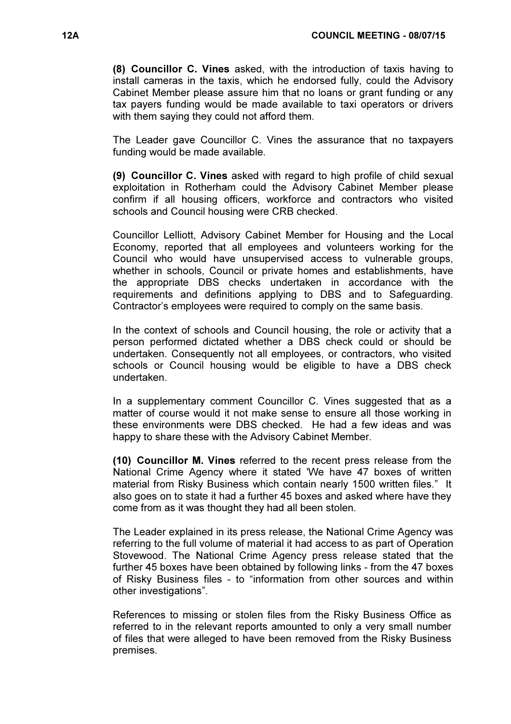(8) Councillor C. Vines asked, with the introduction of taxis having to install cameras in the taxis, which he endorsed fully, could the Advisory Cabinet Member please assure him that no loans or grant funding or any tax payers funding would be made available to taxi operators or drivers with them saying they could not afford them.

The Leader gave Councillor C. Vines the assurance that no taxpayers funding would be made available.

(9) Councillor C. Vines asked with regard to high profile of child sexual exploitation in Rotherham could the Advisory Cabinet Member please confirm if all housing officers, workforce and contractors who visited schools and Council housing were CRB checked.

Councillor Lelliott, Advisory Cabinet Member for Housing and the Local Economy, reported that all employees and volunteers working for the Council who would have unsupervised access to vulnerable groups, whether in schools, Council or private homes and establishments, have the appropriate DBS checks undertaken in accordance with the requirements and definitions applying to DBS and to Safeguarding. Contractor's employees were required to comply on the same basis.

In the context of schools and Council housing, the role or activity that a person performed dictated whether a DBS check could or should be undertaken. Consequently not all employees, or contractors, who visited schools or Council housing would be eligible to have a DBS check undertaken.

In a supplementary comment Councillor C. Vines suggested that as a matter of course would it not make sense to ensure all those working in these environments were DBS checked. He had a few ideas and was happy to share these with the Advisory Cabinet Member.

(10) Councillor M. Vines referred to the recent press release from the National Crime Agency where it stated 'We have 47 boxes of written material from Risky Business which contain nearly 1500 written files." It also goes on to state it had a further 45 boxes and asked where have they come from as it was thought they had all been stolen.

The Leader explained in its press release, the National Crime Agency was referring to the full volume of material it had access to as part of Operation Stovewood. The National Crime Agency press release stated that the further 45 boxes have been obtained by following links - from the 47 boxes of Risky Business files - to "information from other sources and within other investigations".

References to missing or stolen files from the Risky Business Office as referred to in the relevant reports amounted to only a very small number of files that were alleged to have been removed from the Risky Business premises.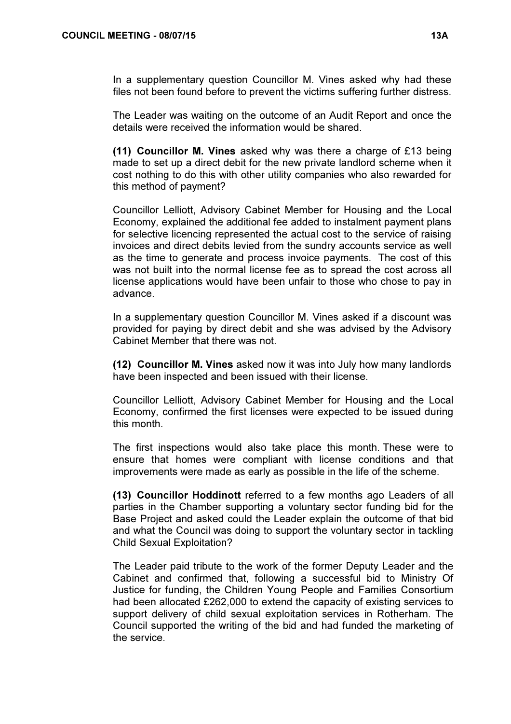In a supplementary question Councillor M. Vines asked why had these files not been found before to prevent the victims suffering further distress.

The Leader was waiting on the outcome of an Audit Report and once the details were received the information would be shared.

(11) Councillor M. Vines asked why was there a charge of £13 being made to set up a direct debit for the new private landlord scheme when it cost nothing to do this with other utility companies who also rewarded for this method of payment?

Councillor Lelliott, Advisory Cabinet Member for Housing and the Local Economy, explained the additional fee added to instalment payment plans for selective licencing represented the actual cost to the service of raising invoices and direct debits levied from the sundry accounts service as well as the time to generate and process invoice payments. The cost of this was not built into the normal license fee as to spread the cost across all license applications would have been unfair to those who chose to pay in advance.

In a supplementary question Councillor M. Vines asked if a discount was provided for paying by direct debit and she was advised by the Advisory Cabinet Member that there was not.

(12) Councillor M. Vines asked now it was into July how many landlords have been inspected and been issued with their license.

Councillor Lelliott, Advisory Cabinet Member for Housing and the Local Economy, confirmed the first licenses were expected to be issued during this month.

The first inspections would also take place this month. These were to ensure that homes were compliant with license conditions and that improvements were made as early as possible in the life of the scheme.

(13) Councillor Hoddinott referred to a few months ago Leaders of all parties in the Chamber supporting a voluntary sector funding bid for the Base Project and asked could the Leader explain the outcome of that bid and what the Council was doing to support the voluntary sector in tackling Child Sexual Exploitation?

The Leader paid tribute to the work of the former Deputy Leader and the Cabinet and confirmed that, following a successful bid to Ministry Of Justice for funding, the Children Young People and Families Consortium had been allocated £262,000 to extend the capacity of existing services to support delivery of child sexual exploitation services in Rotherham. The Council supported the writing of the bid and had funded the marketing of the service.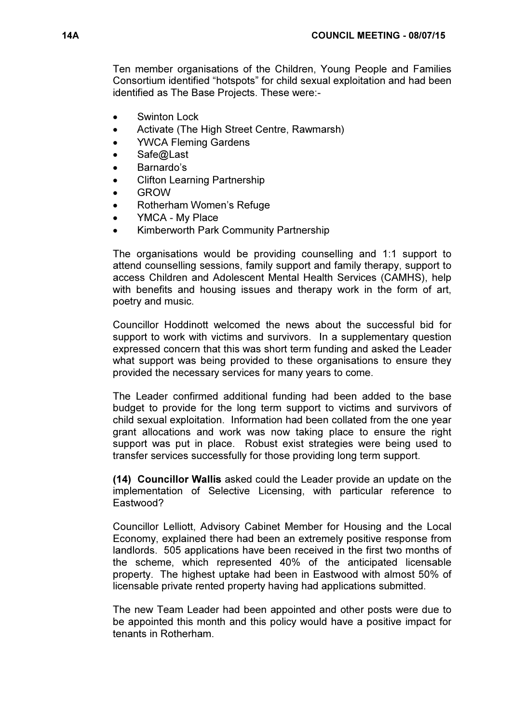Ten member organisations of the Children, Young People and Families Consortium identified "hotspots" for child sexual exploitation and had been identified as The Base Projects. These were:-

- **Swinton Lock**
- Activate (The High Street Centre, Rawmarsh)
- YWCA Fleming Gardens
- Safe@Last
- Barnardo's
- Clifton Learning Partnership
- GROW
- Rotherham Women's Refuge
- YMCA My Place
- Kimberworth Park Community Partnership

The organisations would be providing counselling and 1:1 support to attend counselling sessions, family support and family therapy, support to access Children and Adolescent Mental Health Services (CAMHS), help with benefits and housing issues and therapy work in the form of art, poetry and music.

Councillor Hoddinott welcomed the news about the successful bid for support to work with victims and survivors. In a supplementary question expressed concern that this was short term funding and asked the Leader what support was being provided to these organisations to ensure they provided the necessary services for many years to come.

The Leader confirmed additional funding had been added to the base budget to provide for the long term support to victims and survivors of child sexual exploitation. Information had been collated from the one year grant allocations and work was now taking place to ensure the right support was put in place. Robust exist strategies were being used to transfer services successfully for those providing long term support.

(14) Councillor Wallis asked could the Leader provide an update on the implementation of Selective Licensing, with particular reference to Eastwood?

Councillor Lelliott, Advisory Cabinet Member for Housing and the Local Economy, explained there had been an extremely positive response from landlords. 505 applications have been received in the first two months of the scheme, which represented 40% of the anticipated licensable property. The highest uptake had been in Eastwood with almost 50% of licensable private rented property having had applications submitted.

The new Team Leader had been appointed and other posts were due to be appointed this month and this policy would have a positive impact for tenants in Rotherham.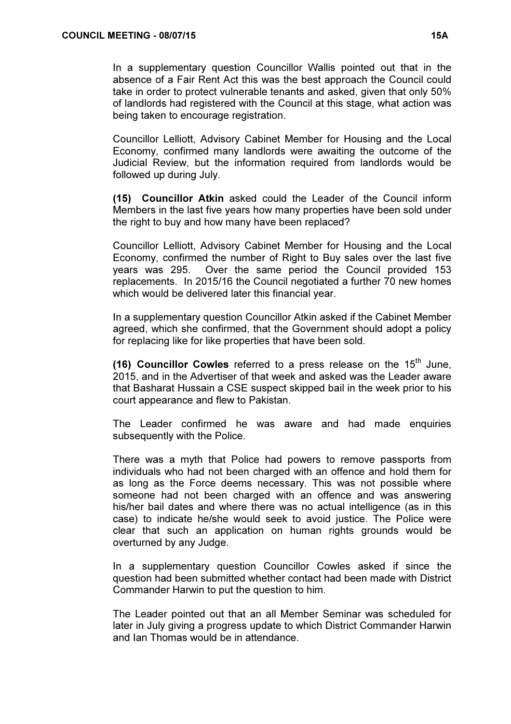In a supplementary question Councillor Wallis pointed out that in the absence of a Fair Rent Act this was the best approach the Council could take in order to protect vulnerable tenants and asked, given that only 50% of landlords had registered with the Council at this stage, what action was being taken to encourage registration.

Councillor Lelliott, Advisory Cabinet Member for Housing and the Local Economy, confirmed many landlords were awaiting the outcome of the Judicial Review, but the information required from landlords would be followed up during July.

(15) Councillor Atkin asked could the Leader of the Council inform Members in the last five years how many properties have been sold under the right to buy and how many have been replaced?

Councillor Lelliott, Advisory Cabinet Member for Housing and the Local Economy, confirmed the number of Right to Buy sales over the last five years was 295. Over the same period the Council provided 153 replacements. In 2015/16 the Council negotiated a further 70 new homes which would be delivered later this financial year.

In a supplementary question Councillor Atkin asked if the Cabinet Member agreed, which she confirmed, that the Government should adopt a policy for replacing like for like properties that have been sold.

(16) Councillor Cowles referred to a press release on the  $15<sup>th</sup>$  June, 2015, and in the Advertiser of that week and asked was the Leader aware that Basharat Hussain a CSE suspect skipped bail in the week prior to his court appearance and flew to Pakistan.

The Leader confirmed he was aware and had made enquiries subsequently with the Police.

There was a myth that Police had powers to remove passports from individuals who had not been charged with an offence and hold them for as long as the Force deems necessary. This was not possible where someone had not been charged with an offence and was answering his/her bail dates and where there was no actual intelligence (as in this case) to indicate he/she would seek to avoid justice. The Police were clear that such an application on human rights grounds would be overturned by any Judge.

In a supplementary question Councillor Cowles asked if since the question had been submitted whether contact had been made with District Commander Harwin to put the question to him.

The Leader pointed out that an all Member Seminar was scheduled for later in July giving a progress update to which District Commander Harwin and Ian Thomas would be in attendance.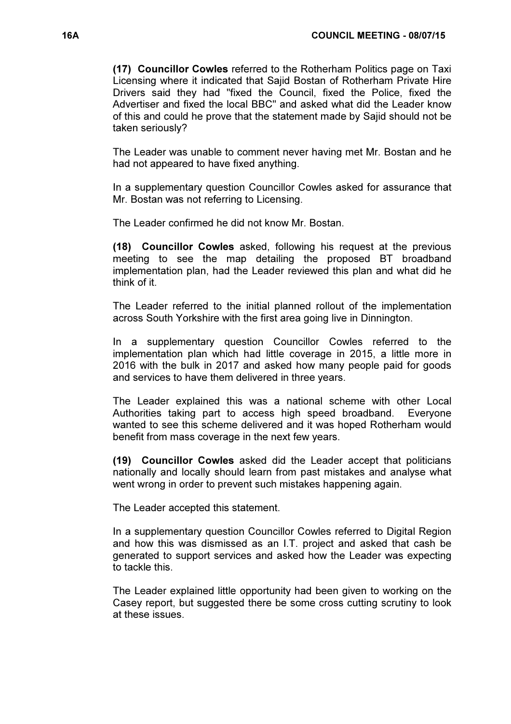(17) Councillor Cowles referred to the Rotherham Politics page on Taxi Licensing where it indicated that Sajid Bostan of Rotherham Private Hire Drivers said they had "fixed the Council, fixed the Police, fixed the Advertiser and fixed the local BBC" and asked what did the Leader know of this and could he prove that the statement made by Sajid should not be taken seriously?

The Leader was unable to comment never having met Mr. Bostan and he had not appeared to have fixed anything.

In a supplementary question Councillor Cowles asked for assurance that Mr. Bostan was not referring to Licensing.

The Leader confirmed he did not know Mr. Bostan.

(18) Councillor Cowles asked, following his request at the previous meeting to see the map detailing the proposed BT broadband implementation plan, had the Leader reviewed this plan and what did he think of it.

The Leader referred to the initial planned rollout of the implementation across South Yorkshire with the first area going live in Dinnington.

In a supplementary question Councillor Cowles referred to the implementation plan which had little coverage in 2015, a little more in 2016 with the bulk in 2017 and asked how many people paid for goods and services to have them delivered in three years.

The Leader explained this was a national scheme with other Local Authorities taking part to access high speed broadband. Everyone wanted to see this scheme delivered and it was hoped Rotherham would benefit from mass coverage in the next few years.

(19) Councillor Cowles asked did the Leader accept that politicians nationally and locally should learn from past mistakes and analyse what went wrong in order to prevent such mistakes happening again.

The Leader accepted this statement.

In a supplementary question Councillor Cowles referred to Digital Region and how this was dismissed as an I.T. project and asked that cash be generated to support services and asked how the Leader was expecting to tackle this.

The Leader explained little opportunity had been given to working on the Casey report, but suggested there be some cross cutting scrutiny to look at these issues.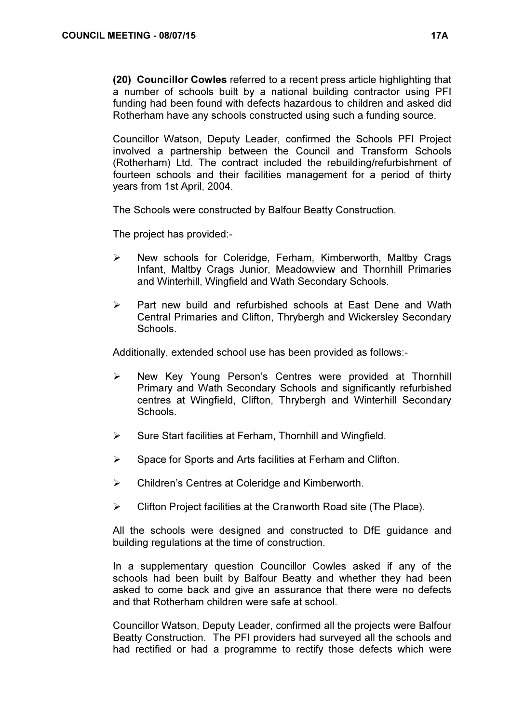(20) Councillor Cowles referred to a recent press article highlighting that a number of schools built by a national building contractor using PFI funding had been found with defects hazardous to children and asked did Rotherham have any schools constructed using such a funding source.

Councillor Watson, Deputy Leader, confirmed the Schools PFI Project involved a partnership between the Council and Transform Schools (Rotherham) Ltd. The contract included the rebuilding/refurbishment of fourteen schools and their facilities management for a period of thirty years from 1st April, 2004.

The Schools were constructed by Balfour Beatty Construction.

The project has provided:-

- $\triangleright$  New schools for Coleridge, Ferham, Kimberworth, Maltby Crags Infant, Maltby Crags Junior, Meadowview and Thornhill Primaries and Winterhill, Wingfield and Wath Secondary Schools.
- $\triangleright$  Part new build and refurbished schools at East Dene and Wath Central Primaries and Clifton, Thrybergh and Wickersley Secondary Schools.

Additionally, extended school use has been provided as follows:-

- $\triangleright$  New Key Young Person's Centres were provided at Thornhill Primary and Wath Secondary Schools and significantly refurbished centres at Wingfield, Clifton, Thrybergh and Winterhill Secondary Schools.
- $\triangleright$  Sure Start facilities at Ferham, Thornhill and Wingfield.
- $\triangleright$  Space for Sports and Arts facilities at Ferham and Clifton.
- Children's Centres at Coleridge and Kimberworth.
- $\triangleright$  Clifton Project facilities at the Cranworth Road site (The Place).

All the schools were designed and constructed to DfE guidance and building regulations at the time of construction.

In a supplementary question Councillor Cowles asked if any of the schools had been built by Balfour Beatty and whether they had been asked to come back and give an assurance that there were no defects and that Rotherham children were safe at school.

Councillor Watson, Deputy Leader, confirmed all the projects were Balfour Beatty Construction. The PFI providers had surveyed all the schools and had rectified or had a programme to rectify those defects which were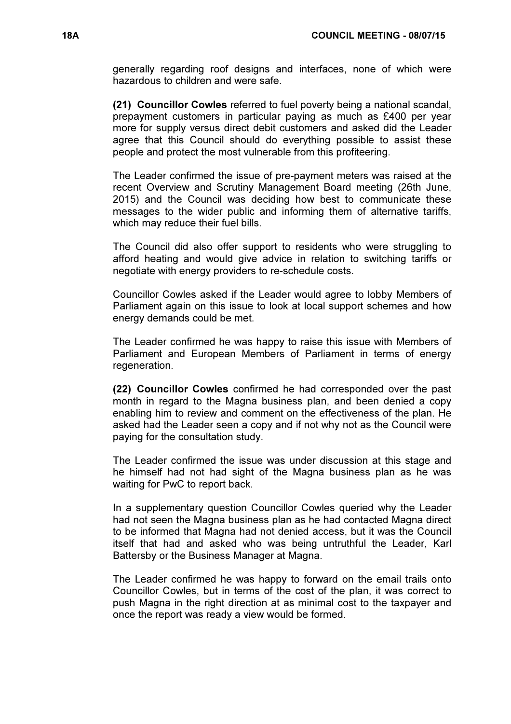generally regarding roof designs and interfaces, none of which were hazardous to children and were safe.

(21) Councillor Cowles referred to fuel poverty being a national scandal, prepayment customers in particular paying as much as £400 per year more for supply versus direct debit customers and asked did the Leader agree that this Council should do everything possible to assist these people and protect the most vulnerable from this profiteering.

The Leader confirmed the issue of pre-payment meters was raised at the recent Overview and Scrutiny Management Board meeting (26th June, 2015) and the Council was deciding how best to communicate these messages to the wider public and informing them of alternative tariffs, which may reduce their fuel bills.

The Council did also offer support to residents who were struggling to afford heating and would give advice in relation to switching tariffs or negotiate with energy providers to re-schedule costs.

Councillor Cowles asked if the Leader would agree to lobby Members of Parliament again on this issue to look at local support schemes and how energy demands could be met.

The Leader confirmed he was happy to raise this issue with Members of Parliament and European Members of Parliament in terms of energy regeneration.

(22) Councillor Cowles confirmed he had corresponded over the past month in regard to the Magna business plan, and been denied a copy enabling him to review and comment on the effectiveness of the plan. He asked had the Leader seen a copy and if not why not as the Council were paying for the consultation study.

The Leader confirmed the issue was under discussion at this stage and he himself had not had sight of the Magna business plan as he was waiting for PwC to report back.

In a supplementary question Councillor Cowles queried why the Leader had not seen the Magna business plan as he had contacted Magna direct to be informed that Magna had not denied access, but it was the Council itself that had and asked who was being untruthful the Leader, Karl Battersby or the Business Manager at Magna.

The Leader confirmed he was happy to forward on the email trails onto Councillor Cowles, but in terms of the cost of the plan, it was correct to push Magna in the right direction at as minimal cost to the taxpayer and once the report was ready a view would be formed.